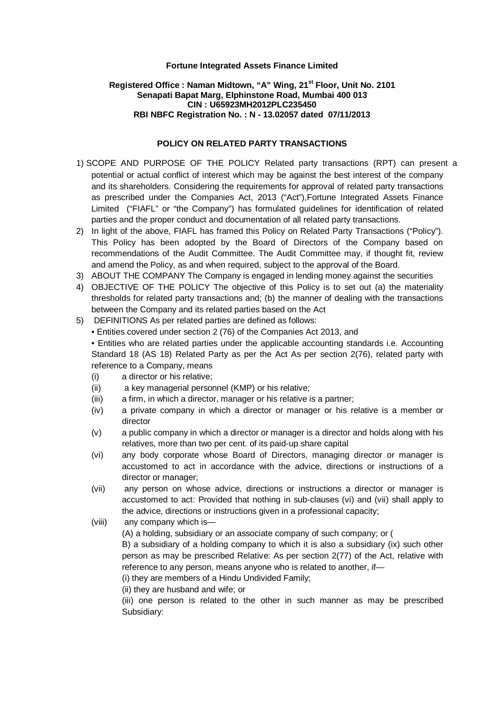### **Registered Office : Naman Midtown, "A" Wing, 21st Floor, Unit No. 2101 Senapati Bapat Marg, Elphinstone Road, Mumbai 400 013 CIN : U65923MH2012PLC235450 RBI NBFC Registration No. : N - 13.02057 dated 07/11/2013**

### **POLICY ON RELATED PARTY TRANSACTIONS**

- potential or actual conflict of interest which may be against the best interest of the company and its shareholders. Considering the requirements for approval of related party transactions as prescribed under the Companies Act, 2013 ("Act"),Fortune Integrated Assets Finance Limited ("FIAFL" or "the Company") has formulated guidelines for identification of related parties and the proper conduct and documentation of all related party transactions. 1) SCOPE AND PURPOSE OF THE POLICY Related party transactions (RPT) can present a
- 2) In light of the above, FIAFL has framed this Policy on Related Party Transactions ("Policy"). This Policy has been adopted by the Board of Directors of the Company based on recommendations of the Audit Committee. The Audit Committee may, if thought fit, review and amend the Policy, as and when required, subject to the approval of the Board.
- 3) ABOUT THE COMPANY The Company is engaged in lending money against the securities
- 4) OBJECTIVE OF THE POLICY The objective of this Policy is to set out (a) the materiality thresholds for related party transactions and; (b) the manner of dealing with the transactions between the Company and its related parties based on the Act
- 5) DEFINITIONS As per related parties are defined as follows:
	- Entities covered under section 2 (76) of the Companies Act 2013, and

• Entities who are related parties under the applicable accounting standards i.e. Accounting Standard 18 (AS 18) Related Party as per the Act As per section 2(76), related party with reference to a Company, means

- (i) a director or his relative;
- (ii) a key managerial personnel (KMP) or his relative;
- (iii) a firm, in which a director, manager or his relative is a partner;
- (iv) a private company in which a director or manager or his relative is a member or director
- (v) a public company in which a director or manager is a director and holds along with his relatives, more than two per cent. of its paid-up share capital
- (vi) any body corporate whose Board of Directors, managing director or manager is accustomed to act in accordance with the advice, directions or instructions of a director or manager;
- (vii) any person on whose advice, directions or instructions a director or manager is accustomed to act: Provided that nothing in sub-clauses (vi) and (vii) shall apply to the advice, directions or instructions given in a professional capacity;
- (viii) any company which is—

(A) a holding, subsidiary or an associate company of such company; or (

B) a subsidiary of a holding company to which it is also a subsidiary (ix) such other person as may be prescribed Relative: As per section 2(77) of the Act, relative with reference to any person, means anyone who is related to another, if—

(i) they are members of a Hindu Undivided Family;

(ii) they are husband and wife; or

(iii) one person is related to the other in such manner as may be prescribed Subsidiary: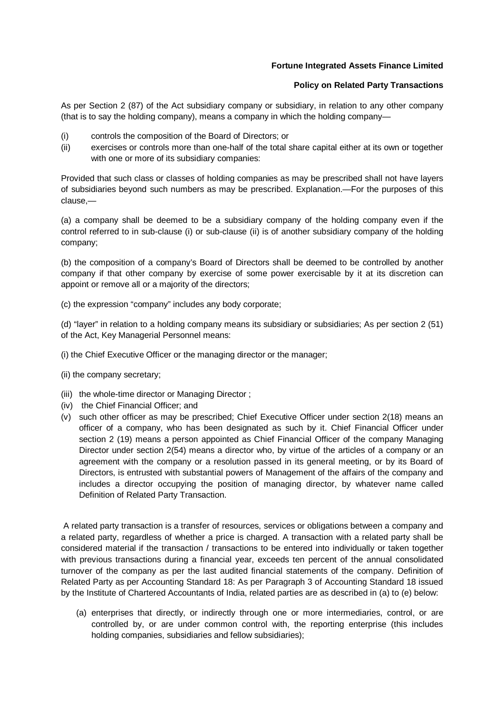### **Policy on Related Party Transactions**

As per Section 2 (87) of the Act subsidiary company or subsidiary, in relation to any other company (that is to say the holding company), means a company in which the holding company—

- (i) controls the composition of the Board of Directors; or
- (ii) exercises or controls more than one-half of the total share capital either at its own or together with one or more of its subsidiary companies:

Provided that such class or classes of holding companies as may be prescribed shall not have layers of subsidiaries beyond such numbers as may be prescribed. Explanation.—For the purposes of this clause,—

(a) a company shall be deemed to be a subsidiary company of the holding company even if the control referred to in sub-clause (i) or sub-clause (ii) is of another subsidiary company of the holding company;

(b) the composition of a company's Board of Directors shall be deemed to be controlled by another company if that other company by exercise of some power exercisable by it at its discretion can appoint or remove all or a majority of the directors;

(c) the expression "company" includes any body corporate;

(d) "layer" in relation to a holding company means its subsidiary or subsidiaries; As per section 2 (51) of the Act, Key Managerial Personnel means:

- (i) the Chief Executive Officer or the managing director or the manager;
- (ii) the company secretary;
- (iii) the whole-time director or Managing Director ;
- (iv) the Chief Financial Officer; and
- (v) such other officer as may be prescribed; Chief Executive Officer under section 2(18) means an officer of a company, who has been designated as such by it. Chief Financial Officer under section 2 (19) means a person appointed as Chief Financial Officer of the company Managing Director under section 2(54) means a director who, by virtue of the articles of a company or an agreement with the company or a resolution passed in its general meeting, or by its Board of Directors, is entrusted with substantial powers of Management of the affairs of the company and includes a director occupying the position of managing director, by whatever name called Definition of Related Party Transaction.

A related party transaction is a transfer of resources, services or obligations between a company and a related party, regardless of whether a price is charged. A transaction with a related party shall be considered material if the transaction / transactions to be entered into individually or taken together with previous transactions during a financial year, exceeds ten percent of the annual consolidated turnover of the company as per the last audited financial statements of the company. Definition of Related Party as per Accounting Standard 18: As per Paragraph 3 of Accounting Standard 18 issued by the Institute of Chartered Accountants of India, related parties are as described in (a) to (e) below:

(a) enterprises that directly, or indirectly through one or more intermediaries, control, or are controlled by, or are under common control with, the reporting enterprise (this includes holding companies, subsidiaries and fellow subsidiaries);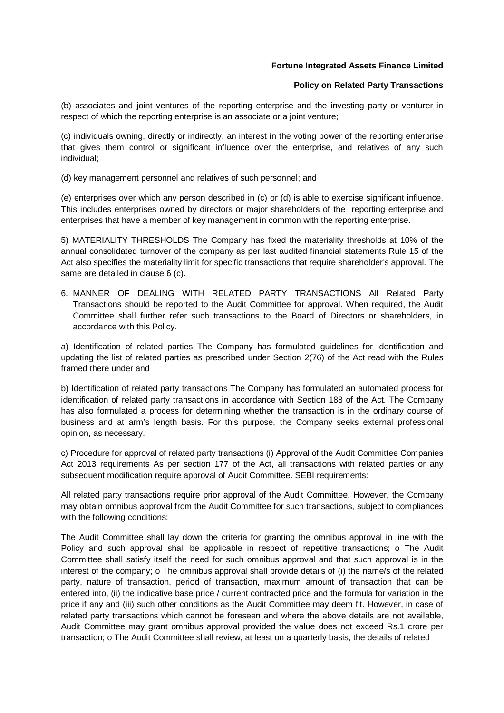### **Policy on Related Party Transactions**

(b) associates and joint ventures of the reporting enterprise and the investing party or venturer in respect of which the reporting enterprise is an associate or a joint venture;

(c) individuals owning, directly or indirectly, an interest in the voting power of the reporting enterprise that gives them control or significant influence over the enterprise, and relatives of any such individual;

(d) key management personnel and relatives of such personnel; and

(e) enterprises over which any person described in (c) or (d) is able to exercise significant influence. This includes enterprises owned by directors or major shareholders of the reporting enterprise and enterprises that have a member of key management in common with the reporting enterprise.

5) MATERIALITY THRESHOLDS The Company has fixed the materiality thresholds at 10% of the annual consolidated turnover of the company as per last audited financial statements Rule 15 of the Act also specifies the materiality limit for specific transactions that require shareholder's approval. The same are detailed in clause 6 (c).

6. MANNER OF DEALING WITH RELATED PARTY TRANSACTIONS All Related Party Transactions should be reported to the Audit Committee for approval. When required, the Audit Committee shall further refer such transactions to the Board of Directors or shareholders, in accordance with this Policy.

a) Identification of related parties The Company has formulated guidelines for identification and updating the list of related parties as prescribed under Section 2(76) of the Act read with the Rules framed there under and

b) Identification of related party transactions The Company has formulated an automated process for identification of related party transactions in accordance with Section 188 of the Act. The Company has also formulated a process for determining whether the transaction is in the ordinary course of business and at arm's length basis. For this purpose, the Company seeks external professional opinion, as necessary.

c) Procedure for approval of related party transactions (i) Approval of the Audit Committee Companies Act 2013 requirements As per section 177 of the Act, all transactions with related parties or any subsequent modification require approval of Audit Committee. SEBI requirements:

All related party transactions require prior approval of the Audit Committee. However, the Company may obtain omnibus approval from the Audit Committee for such transactions, subject to compliances with the following conditions:

The Audit Committee shall lay down the criteria for granting the omnibus approval in line with the Policy and such approval shall be applicable in respect of repetitive transactions; o The Audit Committee shall satisfy itself the need for such omnibus approval and that such approval is in the interest of the company; o The omnibus approval shall provide details of (i) the name/s of the related party, nature of transaction, period of transaction, maximum amount of transaction that can be entered into, (ii) the indicative base price / current contracted price and the formula for variation in the price if any and (iii) such other conditions as the Audit Committee may deem fit. However, in case of related party transactions which cannot be foreseen and where the above details are not available, Audit Committee may grant omnibus approval provided the value does not exceed Rs.1 crore per transaction; o The Audit Committee shall review, at least on a quarterly basis, the details of related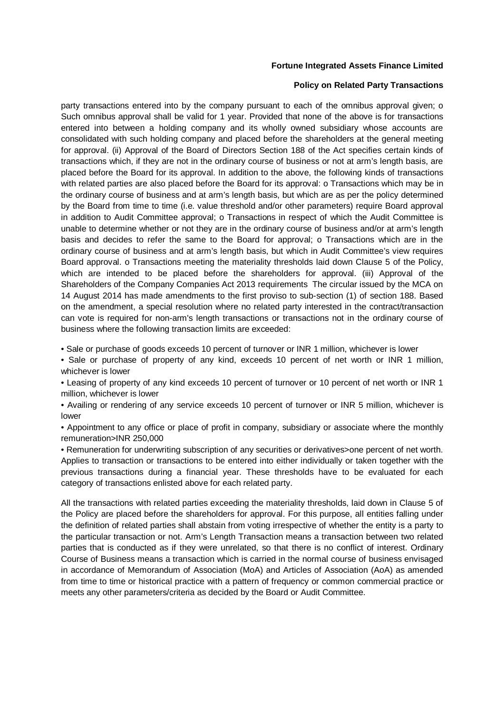### **Policy on Related Party Transactions**

party transactions entered into by the company pursuant to each of the omnibus approval given; o Such omnibus approval shall be valid for 1 year. Provided that none of the above is for transactions entered into between a holding company and its wholly owned subsidiary whose accounts are consolidated with such holding company and placed before the shareholders at the general meeting for approval. (ii) Approval of the Board of Directors Section 188 of the Act specifies certain kinds of transactions which, if they are not in the ordinary course of business or not at arm's length basis, are placed before the Board for its approval. In addition to the above, the following kinds of transactions with related parties are also placed before the Board for its approval: o Transactions which may be in the ordinary course of business and at arm's length basis, but which are as per the policy determined by the Board from time to time (i.e. value threshold and/or other parameters) require Board approval in addition to Audit Committee approval; o Transactions in respect of which the Audit Committee is unable to determine whether or not they are in the ordinary course of business and/or at arm's length basis and decides to refer the same to the Board for approval; o Transactions which are in the ordinary course of business and at arm's length basis, but which in Audit Committee's view requires Board approval. o Transactions meeting the materiality thresholds laid down Clause 5 of the Policy, which are intended to be placed before the shareholders for approval. (iii) Approval of the Shareholders of the Company Companies Act 2013 requirements The circular issued by the MCA on 14 August 2014 has made amendments to the first proviso to sub-section (1) of section 188. Based on the amendment, a special resolution where no related party interested in the contract/transaction can vote is required for non-arm's length transactions or transactions not in the ordinary course of business where the following transaction limits are exceeded:

• Sale or purchase of goods exceeds 10 percent of turnover or INR 1 million, whichever is lower

• Sale or purchase of property of any kind, exceeds 10 percent of net worth or INR 1 million, whichever is lower

• Leasing of property of any kind exceeds 10 percent of turnover or 10 percent of net worth or INR 1 million, whichever is lower

• Availing or rendering of any service exceeds 10 percent of turnover or INR 5 million, whichever is lower

• Appointment to any office or place of profit in company, subsidiary or associate where the monthly remuneration>INR 250,000

• Remuneration for underwriting subscription of any securities or derivatives>one percent of net worth. Applies to transaction or transactions to be entered into either individually or taken together with the previous transactions during a financial year. These thresholds have to be evaluated for each category of transactions enlisted above for each related party.

All the transactions with related parties exceeding the materiality thresholds, laid down in Clause 5 of the Policy are placed before the shareholders for approval. For this purpose, all entities falling under the definition of related parties shall abstain from voting irrespective of whether the entity is a party to the particular transaction or not. Arm's Length Transaction means a transaction between two related parties that is conducted as if they were unrelated, so that there is no conflict of interest. Ordinary Course of Business means a transaction which is carried in the normal course of business envisaged in accordance of Memorandum of Association (MoA) and Articles of Association (AoA) as amended from time to time or historical practice with a pattern of frequency or common commercial practice or meets any other parameters/criteria as decided by the Board or Audit Committee.